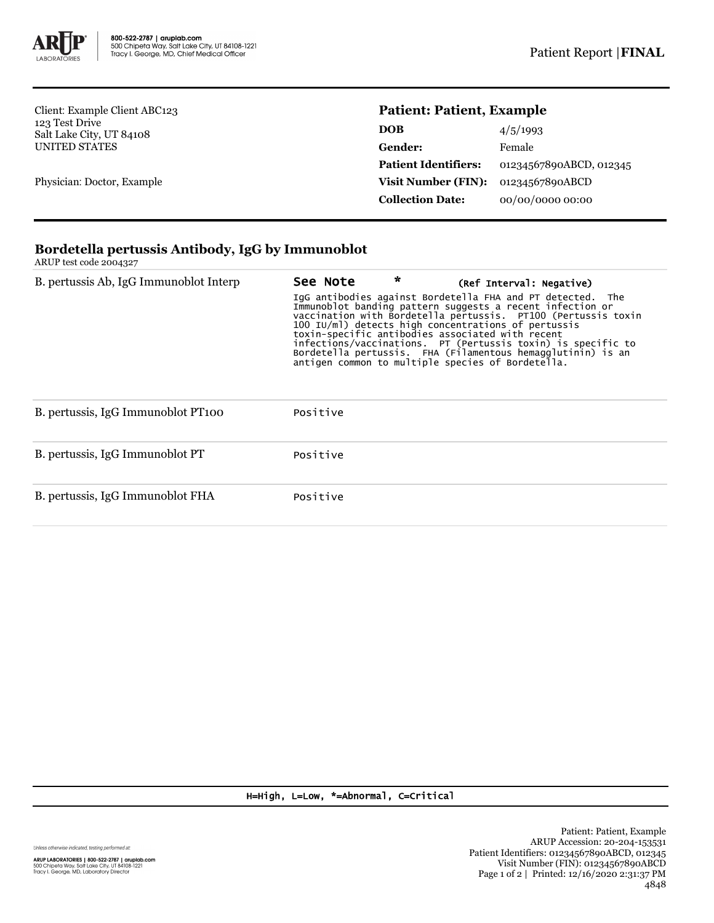

Client: Example Client ABC123 123 Test Drive Salt Lake City, UT 84108 UNITED STATES

Physician: Doctor, Example

## **Patient: Patient, Example**

| <b>DOB</b>                  | 4/5/1993                |
|-----------------------------|-------------------------|
| Gender:                     | Female                  |
| <b>Patient Identifiers:</b> | 01234567890ABCD, 012345 |
| Visit Number (FIN):         | 01234567890ABCD         |
| <b>Collection Date:</b>     | 00/00/0000 00:00        |

## **Bordetella pertussis Antibody, IgG by Immunoblot**

ARUP test code 2004327

| B. pertussis Ab, IgG Immunoblot Interp | *<br>See Note<br>(Ref Interval: Negative)                                                                                                                                                                                                                                                                                                                                                                                                                                               |
|----------------------------------------|-----------------------------------------------------------------------------------------------------------------------------------------------------------------------------------------------------------------------------------------------------------------------------------------------------------------------------------------------------------------------------------------------------------------------------------------------------------------------------------------|
|                                        | IgG antibodies against Bordetella FHA and PT detected. The<br>Immunoblot banding pattern suggests a recent infection or<br>vaccination with Bordetella pertussis. PT100 (Pertussis toxin<br>100 IU/ml) detects high concentrations of pertussis<br>toxin-specific antibodies associated with recent<br>infections/vaccinations. PT (Pertussis toxin) is specific to<br>Bordetella pertussis. FHA (Filamentous hemagglutinin) is an<br>antigen common to multiple species of Bordetella. |
| B. pertussis, IgG Immunoblot PT100     | Positive                                                                                                                                                                                                                                                                                                                                                                                                                                                                                |
| B. pertussis, IgG Immunoblot PT        | Positive                                                                                                                                                                                                                                                                                                                                                                                                                                                                                |
| B. pertussis, IgG Immunoblot FHA       | Positive                                                                                                                                                                                                                                                                                                                                                                                                                                                                                |

H=High, L=Low, \*=Abnormal, C=Critical

Unless otherwise indicated, testing performed at: